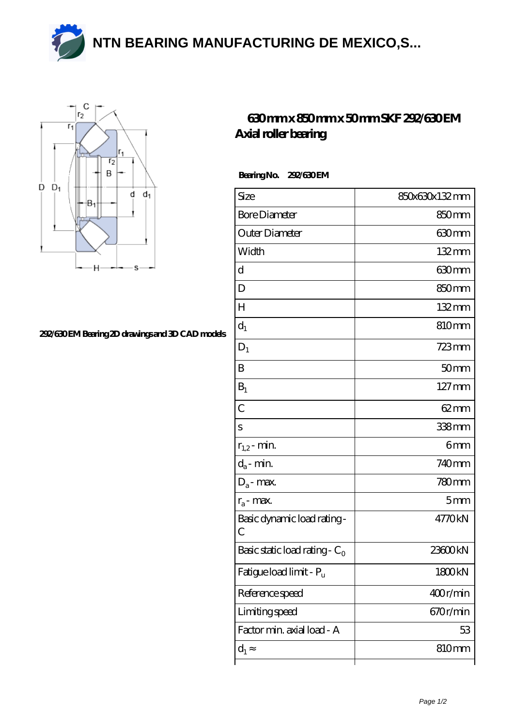**[NTN BEARING MANUFACTURING DE MEXICO,S...](https://asterimmobilier.com)**



## **[292/630 EM Bearing 2D drawings and 3D CAD models](https://asterimmobilier.com/pic-65104871.html)**

## **[630 mm x 850 mm x 50 mm SKF 292/630 EM](https://asterimmobilier.com/sell-65104871-630-mm-x-850-mm-x-50-mm-skf-292-630-em-axial-roller-bearing.html) [Axial roller bearing](https://asterimmobilier.com/sell-65104871-630-mm-x-850-mm-x-50-mm-skf-292-630-em-axial-roller-bearing.html)**

Bearing No. 292/630 EM

| Size                                | 850x630x132mm       |
|-------------------------------------|---------------------|
| <b>Bore Diameter</b>                | 850mm               |
| Outer Diameter                      | 630mm               |
| Width                               | 132mm               |
| d                                   | 630mm               |
| D                                   | 850mm               |
| $H_{\rm}$                           | 132mm               |
| $d_1$                               | 810mm               |
| $D_1$                               | $723 \text{mm}$     |
| B                                   | 50mm                |
| $B_1$                               | $127 \,\mathrm{mm}$ |
| $\overline{C}$                      | $62 \text{mm}$      |
| S                                   | 338mm               |
| $r_{1,2}$ - min.                    | 6mm                 |
| $d_a$ - min.                        | 740mm               |
| $D_a$ - max.                        | $780$ mm            |
| $r_a$ - max.                        | 5 <sub>mm</sub>     |
| Basic dynamic load rating-<br>С     | 4770kN              |
| Basic static load rating - $C_0$    | 23600kN             |
| Fatigue load limit - P <sub>u</sub> | 1800kN              |
| Reference speed                     | 400r/min            |
| Limiting speed                      | 670r/min            |
| Factor min. axial load - A          | 53                  |
| $d_1$                               | 810mm               |
|                                     |                     |